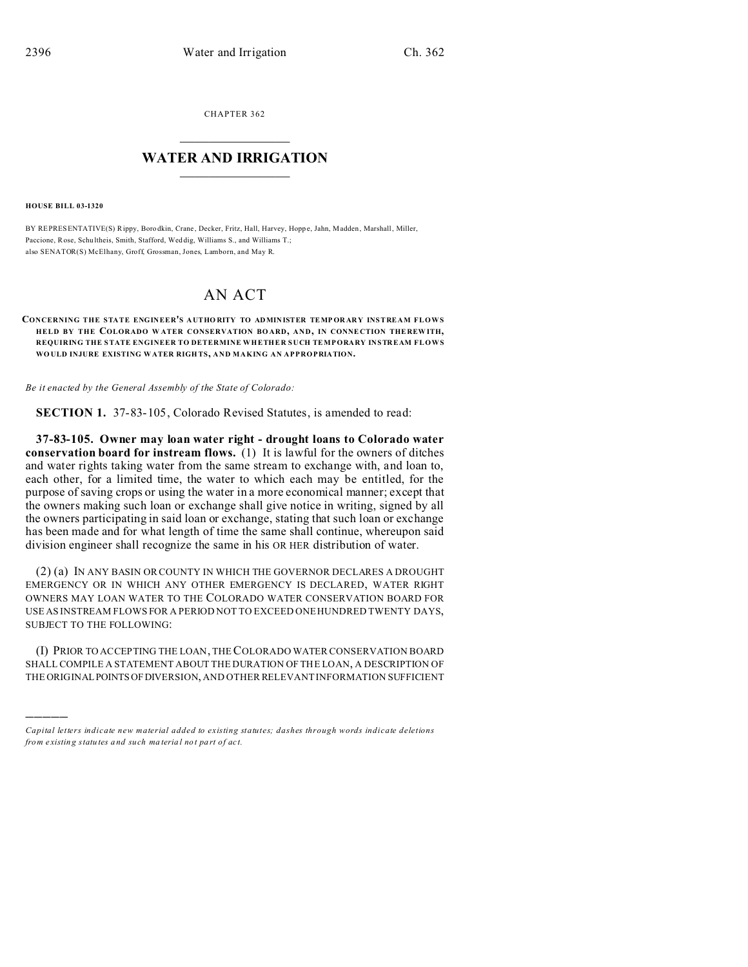CHAPTER 362  $\overline{\phantom{a}}$  , where  $\overline{\phantom{a}}$ 

## **WATER AND IRRIGATION**  $\_$   $\_$   $\_$   $\_$   $\_$   $\_$   $\_$   $\_$   $\_$

**HOUSE BILL 03-1320**

)))))

BY REPRESENTATIVE(S) Rippy, Boro dkin, Crane , Decker, Fritz, Hall, Harvey, Hopp e, Jahn, Madden , Marshall, Miller, Paccione, Rose, Schu ltheis, Smith, Stafford, Wed dig, Williams S., and Williams T.; also SENATOR(S) McElhany, Groff, Grossman, Jones, Lamborn, and May R.

## AN ACT

## **CONCERNING THE STATE ENGINEER'S AUTHO RITY TO ADMIN ISTER TEMP OR ARY INSTREAM FLOWS HELD BY THE COLORADO W ATER CONSERVATION BO ARD, AND, IN CONNE CTION THE REW ITH, REQUIRING THE STATE ENGINEER TO DETERMINE WHETHER SUCH TEMPORARY INSTREAM FLOWS WO ULD INJURE EXISTING WATER RIGH TS, AND MAKING AN APPROPRIATION.**

*Be it enacted by the General Assembly of the State of Colorado:*

**SECTION 1.** 37-83-105, Colorado Revised Statutes, is amended to read:

**37-83-105. Owner may loan water right - drought loans to Colorado water conservation board for instream flows.** (1) It is lawful for the owners of ditches and water rights taking water from the same stream to exchange with, and loan to, each other, for a limited time, the water to which each may be entitled, for the purpose of saving crops or using the water in a more economical manner; except that the owners making such loan or exchange shall give notice in writing, signed by all the owners participating in said loan or exchange, stating that such loan or exchange has been made and for what length of time the same shall continue, whereupon said division engineer shall recognize the same in his OR HER distribution of water.

(2) (a) IN ANY BASIN OR COUNTY IN WHICH THE GOVERNOR DECLARES A DROUGHT EMERGENCY OR IN WHICH ANY OTHER EMERGENCY IS DECLARED, WATER RIGHT OWNERS MAY LOAN WATER TO THE COLORADO WATER CONSERVATION BOARD FOR USE AS INSTREAM FLOWS FOR A PERIOD NOT TO EXCEED ONE HUNDRED TWENTY DAYS, SUBJECT TO THE FOLLOWING:

(I) PRIOR TO ACCEPTING THE LOAN, THE COLORADO WATER CONSERVATION BOARD SHALL COMPILE A STATEMENT ABOUT THE DURATION OF THE LOAN, A DESCRIPTION OF THE ORIGINAL POINTS OF DIVERSION, AND OTHER RELEVANT INFORMATION SUFFICIENT

*Capital letters indicate new material added to existing statutes; dashes through words indicate deletions from e xistin g statu tes a nd such ma teria l no t pa rt of ac t.*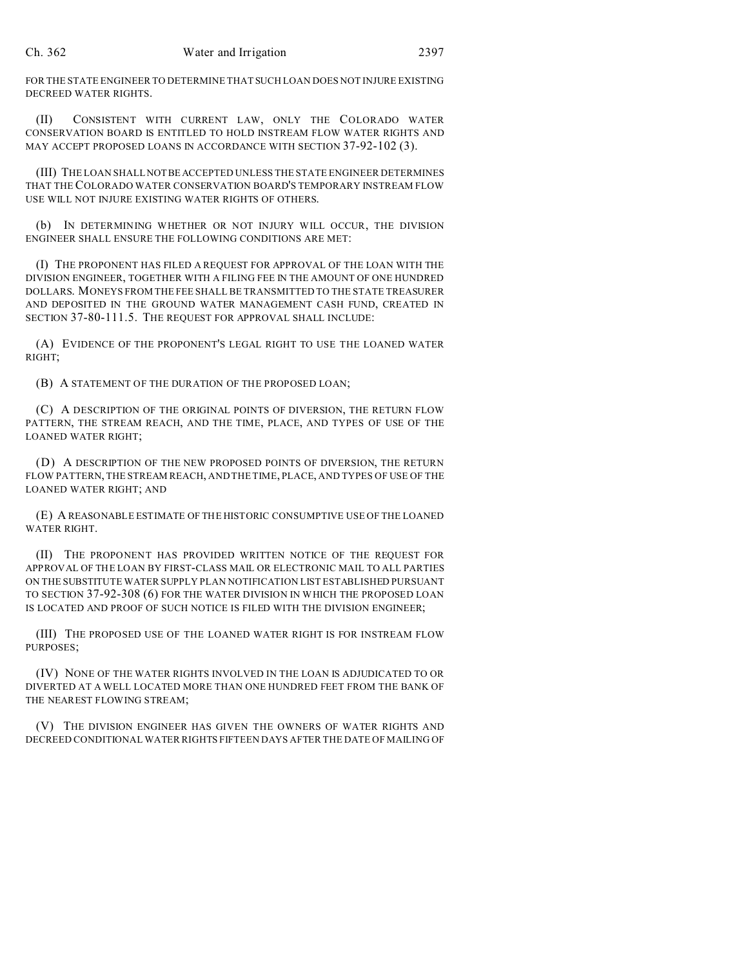FOR THE STATE ENGINEER TO DETERMINE THAT SUCH LOAN DOES NOT INJURE EXISTING DECREED WATER RIGHTS.

(II) CONSISTENT WITH CURRENT LAW, ONLY THE COLORADO WATER CONSERVATION BOARD IS ENTITLED TO HOLD INSTREAM FLOW WATER RIGHTS AND MAY ACCEPT PROPOSED LOANS IN ACCORDANCE WITH SECTION 37-92-102 (3).

(III) THE LOAN SHALL NOTBEACCEPTED UNLESS THE STATE ENGINEER DETERMINES THAT THE COLORADO WATER CONSERVATION BOARD'S TEMPORARY INSTREAM FLOW USE WILL NOT INJURE EXISTING WATER RIGHTS OF OTHERS.

(b) IN DETERMINING WHETHER OR NOT INJURY WILL OCCUR, THE DIVISION ENGINEER SHALL ENSURE THE FOLLOWING CONDITIONS ARE MET:

(I) THE PROPONENT HAS FILED A REQUEST FOR APPROVAL OF THE LOAN WITH THE DIVISION ENGINEER, TOGETHER WITH A FILING FEE IN THE AMOUNT OF ONE HUNDRED DOLLARS. MONEYS FROM THE FEE SHALL BE TRANSMITTED TO THE STATE TREASURER AND DEPOSITED IN THE GROUND WATER MANAGEMENT CASH FUND, CREATED IN SECTION 37-80-111.5. THE REQUEST FOR APPROVAL SHALL INCLUDE:

(A) EVIDENCE OF THE PROPONENT'S LEGAL RIGHT TO USE THE LOANED WATER RIGHT;

(B) A STATEMENT OF THE DURATION OF THE PROPOSED LOAN;

(C) A DESCRIPTION OF THE ORIGINAL POINTS OF DIVERSION, THE RETURN FLOW PATTERN, THE STREAM REACH, AND THE TIME, PLACE, AND TYPES OF USE OF THE LOANED WATER RIGHT;

(D) A DESCRIPTION OF THE NEW PROPOSED POINTS OF DIVERSION, THE RETURN FLOW PATTERN, THE STREAM REACH, AND THE TIME, PLACE, AND TYPES OF USE OF THE LOANED WATER RIGHT; AND

(E) A REASONABLE ESTIMATE OF THE HISTORIC CONSUMPTIVE USE OF THE LOANED WATER RIGHT.

(II) THE PROPONENT HAS PROVIDED WRITTEN NOTICE OF THE REQUEST FOR APPROVAL OF THE LOAN BY FIRST-CLASS MAIL OR ELECTRONIC MAIL TO ALL PARTIES ON THE SUBSTITUTE WATER SUPPLY PLAN NOTIFICATION LIST ESTABLISHED PURSUANT TO SECTION 37-92-308 (6) FOR THE WATER DIVISION IN WHICH THE PROPOSED LOAN IS LOCATED AND PROOF OF SUCH NOTICE IS FILED WITH THE DIVISION ENGINEER;

(III) THE PROPOSED USE OF THE LOANED WATER RIGHT IS FOR INSTREAM FLOW PURPOSES;

(IV) NONE OF THE WATER RIGHTS INVOLVED IN THE LOAN IS ADJUDICATED TO OR DIVERTED AT A WELL LOCATED MORE THAN ONE HUNDRED FEET FROM THE BANK OF THE NEAREST FLOWING STREAM;

(V) THE DIVISION ENGINEER HAS GIVEN THE OWNERS OF WATER RIGHTS AND DECREED CONDITIONAL WATER RIGHTS FIFTEEN DAYS AFTER THE DATE OF MAILING OF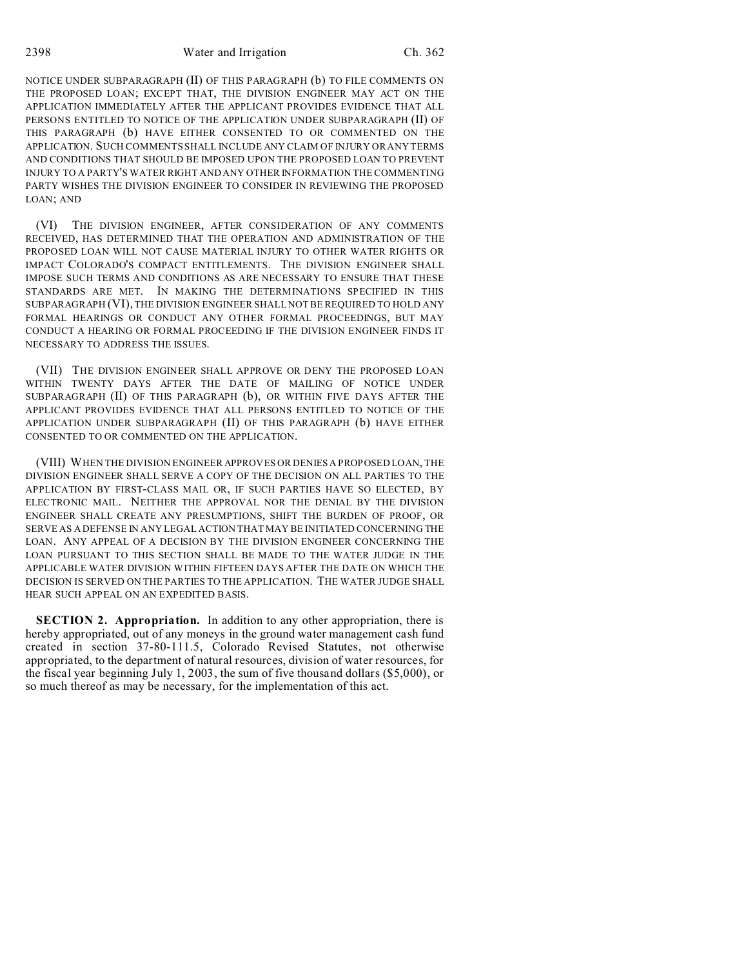NOTICE UNDER SUBPARAGRAPH (II) OF THIS PARAGRAPH (b) TO FILE COMMENTS ON THE PROPOSED LOAN; EXCEPT THAT, THE DIVISION ENGINEER MAY ACT ON THE APPLICATION IMMEDIATELY AFTER THE APPLICANT PROVIDES EVIDENCE THAT ALL PERSONS ENTITLED TO NOTICE OF THE APPLICATION UNDER SUBPARAGRAPH (II) OF THIS PARAGRAPH (b) HAVE EITHER CONSENTED TO OR COMMENTED ON THE APPLICATION. SUCH COMMENTS SHALL INCLUDE ANY CLAIM OF INJURY OR ANY TERMS AND CONDITIONS THAT SHOULD BE IMPOSED UPON THE PROPOSED LOAN TO PREVENT INJURY TO A PARTY'S WATER RIGHT AND ANY OTHER INFORMATION THE COMMENTING PARTY WISHES THE DIVISION ENGINEER TO CONSIDER IN REVIEWING THE PROPOSED LOAN; AND

(VI) THE DIVISION ENGINEER, AFTER CONSIDERATION OF ANY COMMENTS RECEIVED, HAS DETERMINED THAT THE OPERATION AND ADMINISTRATION OF THE PROPOSED LOAN WILL NOT CAUSE MATERIAL INJURY TO OTHER WATER RIGHTS OR IMPACT COLORADO'S COMPACT ENTITLEMENTS. THE DIVISION ENGINEER SHALL IMPOSE SUCH TERMS AND CONDITIONS AS ARE NECESSARY TO ENSURE THAT THESE STANDARDS ARE MET. IN MAKING THE DETERMINATIONS SPECIFIED IN THIS SUBPARAGRAPH (VI), THE DIVISION ENGINEER SHALL NOT BE REQUIRED TO HOLD ANY FORMAL HEARINGS OR CONDUCT ANY OTHER FORMAL PROCEEDINGS, BUT MAY CONDUCT A HEARING OR FORMAL PROCEEDING IF THE DIVISION ENGINEER FINDS IT NECESSARY TO ADDRESS THE ISSUES.

(VII) THE DIVISION ENGINEER SHALL APPROVE OR DENY THE PROPOSED LOAN WITHIN TWENTY DAYS AFTER THE DATE OF MAILING OF NOTICE UNDER SUBPARAGRAPH (II) OF THIS PARAGRAPH (b), OR WITHIN FIVE DAYS AFTER THE APPLICANT PROVIDES EVIDENCE THAT ALL PERSONS ENTITLED TO NOTICE OF THE APPLICATION UNDER SUBPARAGRAPH (II) OF THIS PARAGRAPH (b) HAVE EITHER CONSENTED TO OR COMMENTED ON THE APPLICATION.

(VIII) WHEN THE DIVISION ENGINEER APPROVES OR DENIES A PROPOSED LOAN, THE DIVISION ENGINEER SHALL SERVE A COPY OF THE DECISION ON ALL PARTIES TO THE APPLICATION BY FIRST-CLASS MAIL OR, IF SUCH PARTIES HAVE SO ELECTED, BY ELECTRONIC MAIL. NEITHER THE APPROVAL NOR THE DENIAL BY THE DIVISION ENGINEER SHALL CREATE ANY PRESUMPTIONS, SHIFT THE BURDEN OF PROOF, OR SERVE AS A DEFENSE IN ANY LEGAL ACTION THAT MAY BE INITIATED CONCERNING THE LOAN. ANY APPEAL OF A DECISION BY THE DIVISION ENGINEER CONCERNING THE LOAN PURSUANT TO THIS SECTION SHALL BE MADE TO THE WATER JUDGE IN THE APPLICABLE WATER DIVISION WITHIN FIFTEEN DAYS AFTER THE DATE ON WHICH THE DECISION IS SERVED ON THE PARTIES TO THE APPLICATION. THE WATER JUDGE SHALL HEAR SUCH APPEAL ON AN EXPEDITED BASIS.

**SECTION 2. Appropriation.** In addition to any other appropriation, there is hereby appropriated, out of any moneys in the ground water management cash fund created in section 37-80-111.5, Colorado Revised Statutes, not otherwise appropriated, to the department of natural resources, division of water resources, for the fiscal year beginning July 1, 2003, the sum of five thousand dollars (\$5,000), or so much thereof as may be necessary, for the implementation of this act.